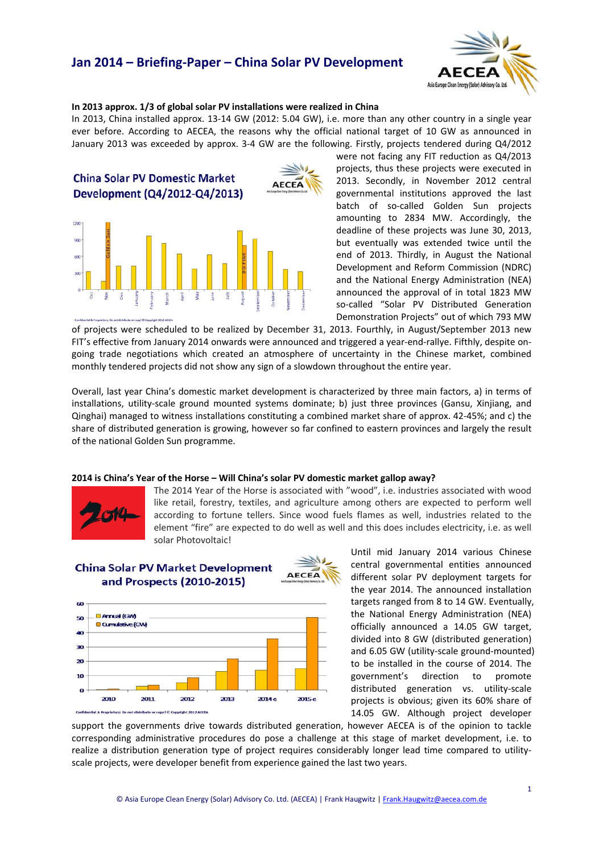# **Jan 2014 – Briefing‐Paper – China Solar PV Development**



#### **In 2013 approx. 1/3 of global solar PV installations were realized in China**

In 2013, China installed approx. 13‐14 GW (2012: 5.04 GW), i.e. more than any other country in a single year ever before. According to AECEA, the reasons why the official national target of 10 GW as announced in January 2013 was exceeded by approx. 3‐4 GW are the following. Firstly, projects tendered during Q4/2012



were not facing any FIT reduction as Q4/2013 projects, thus these projects were executed in 2013. Secondly, in November 2012 central governmental institutions approved the last batch of so-called Golden Sun projects amounting to 2834 MW. Accordingly, the deadline of these projects was June 30, 2013, but eventually was extended twice until the end of 2013. Thirdly, in August the National Development and Reform Commission (NDRC) and the National Energy Administration (NEA) announced the approval of in total 1823 MW so-called "Solar PV Distributed Generation Demonstration Projects" out of which 793 MW

of projects were scheduled to be realized by December 31, 2013. Fourthly, in August/September 2013 new FIT's effective from January 2014 onwards were announced and triggered a year-end-rallye. Fifthly, despite ongoing trade negotiations which created an atmosphere of uncertainty in the Chinese market, combined monthly tendered projects did not show any sign of a slowdown throughout the entire year.

Overall, last year China's domestic market development is characterized by three main factors, a) in terms of installations, utility-scale ground mounted systems dominate; b) just three provinces (Gansu, Xinjiang, and Qinghai) managed to witness installations constituting a combined market share of approx. 42‐45%; and c) the share of distributed generation is growing, however so far confined to eastern provinces and largely the result of the national Golden Sun programme.

#### **2014 is China's Year of the Horse – Will China's solar PV domestic market gallop away?**



The 2014 Year of the Horse is associated with "wood", i.e. industries associated with wood like retail, forestry, textiles, and agriculture among others are expected to perform well according to fortune tellers. Since wood fuels flames as well, industries related to the element "fire" are expected to do well as well and this does includes electricity, i.e. as well solar Photovoltaic!

### **China Solar PV Market Development** and Prospects (2010-2015)



Until mid January 2014 various Chinese central governmental entities announced different solar PV deployment targets for the year 2014. The announced installation targets ranged from 8 to 14 GW. Eventually, the National Energy Administration (NEA) officially announced a 14.05 GW target, divided into 8 GW (distributed generation) and 6.05 GW (utility‐scale ground‐mounted) to be installed in the course of 2014. The government's direction to promote distributed generation vs. utility‐scale projects is obvious; given its 60% share of 14.05 GW. Although project developer

support the governments drive towards distributed generation, however AECEA is of the opinion to tackle corresponding administrative procedures do pose a challenge at this stage of market development, i.e. to realize a distribution generation type of project requires considerably longer lead time compared to utility‐ scale projects, were developer benefit from experience gained the last two years.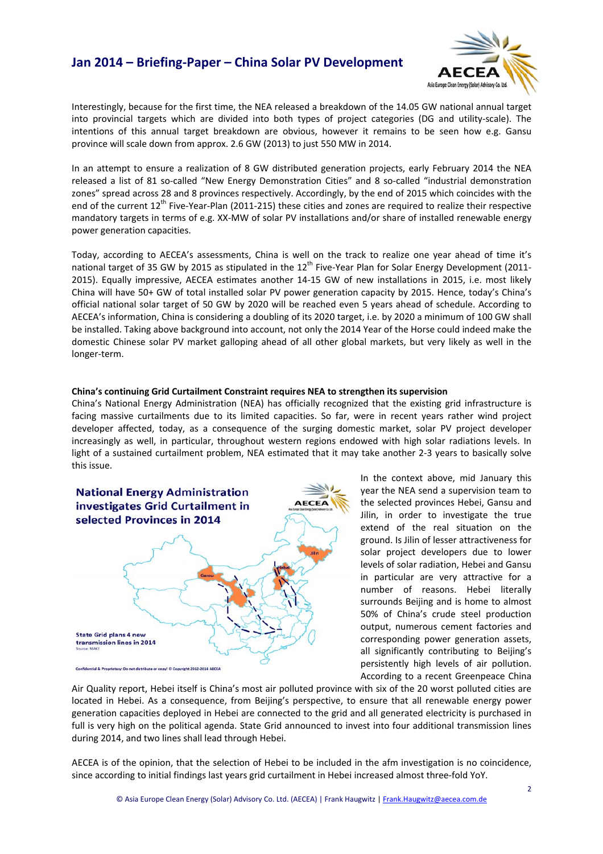### **Jan 2014 – Briefing‐Paper – China Solar PV Development**



Interestingly, because for the first time, the NEA released a breakdown of the 14.05 GW national annual target into provincial targets which are divided into both types of project categories (DG and utility‐scale). The intentions of this annual target breakdown are obvious, however it remains to be seen how e.g. Gansu province will scale down from approx. 2.6 GW (2013) to just 550 MW in 2014.

In an attempt to ensure a realization of 8 GW distributed generation projects, early February 2014 the NEA released a list of 81 so-called "New Energy Demonstration Cities" and 8 so-called "industrial demonstration zones" spread across 28 and 8 provinces respectively. Accordingly, by the end of 2015 which coincides with the end of the current 12<sup>th</sup> Five-Year-Plan (2011-215) these cities and zones are required to realize their respective mandatory targets in terms of e.g. XX‐MW of solar PV installations and/or share of installed renewable energy power generation capacities.

Today, according to AECEA's assessments, China is well on the track to realize one year ahead of time it's national target of 35 GW by 2015 as stipulated in the  $12^{th}$  Five-Year Plan for Solar Energy Development (2011-2015). Equally impressive, AECEA estimates another 14‐15 GW of new installations in 2015, i.e. most likely China will have 50+ GW of total installed solar PV power generation capacity by 2015. Hence, today's China's official national solar target of 50 GW by 2020 will be reached even 5 years ahead of schedule. According to AECEA's information, China is considering a doubling of its 2020 target, i.e. by 2020 a minimum of 100 GW shall be installed. Taking above background into account, not only the 2014 Year of the Horse could indeed make the domestic Chinese solar PV market galloping ahead of all other global markets, but very likely as well in the longer‐term.

#### **China's continuing Grid Curtailment Constraint requires NEA to strengthen its supervision**

China's National Energy Administration (NEA) has officially recognized that the existing grid infrastructure is facing massive curtailments due to its limited capacities. So far, were in recent years rather wind project developer affected, today, as a consequence of the surging domestic market, solar PV project developer increasingly as well, in particular, throughout western regions endowed with high solar radiations levels. In light of a sustained curtailment problem, NEA estimated that it may take another 2‐3 years to basically solve this issue.



In the context above, mid January this year the NEA send a supervision team to the selected provinces Hebei, Gansu and Jilin, in order to investigate the true extend of the real situation on the ground. Is Jilin of lesser attractiveness for solar project developers due to lower levels of solar radiation, Hebei and Gansu in particular are very attractive for a number of reasons. Hebei literally surrounds Beijing and is home to almost 50% of China's crude steel production output, numerous cement factories and corresponding power generation assets, all significantly contributing to Beijing's persistently high levels of air pollution. According to a recent Greenpeace China

Air Quality report, Hebei itself is China's most air polluted province with six of the 20 worst polluted cities are located in Hebei. As a consequence, from Beijing's perspective, to ensure that all renewable energy power generation capacities deployed in Hebei are connected to the grid and all generated electricity is purchased in full is very high on the political agenda. State Grid announced to invest into four additional transmission lines during 2014, and two lines shall lead through Hebei.

AECEA is of the opinion, that the selection of Hebei to be included in the afm investigation is no coincidence, since according to initial findings last years grid curtailment in Hebei increased almost three-fold YoY.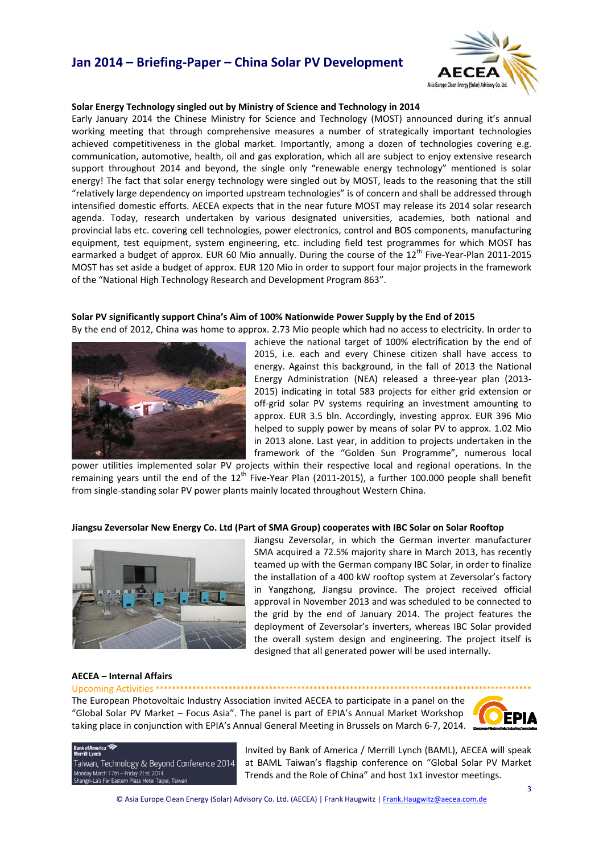# **Jan 2014 – Briefing‐Paper – China Solar PV Development**



#### **Solar Energy Technology singled out by Ministry of Science and Technology in 2014**

Early January 2014 the Chinese Ministry for Science and Technology (MOST) announced during it's annual working meeting that through comprehensive measures a number of strategically important technologies achieved competitiveness in the global market. Importantly, among a dozen of technologies covering e.g. communication, automotive, health, oil and gas exploration, which all are subject to enjoy extensive research support throughout 2014 and beyond, the single only "renewable energy technology" mentioned is solar energy! The fact that solar energy technology were singled out by MOST, leads to the reasoning that the still "relatively large dependency on imported upstream technologies" is of concern and shall be addressed through intensified domestic efforts. AECEA expects that in the near future MOST may release its 2014 solar research agenda. Today, research undertaken by various designated universities, academies, both national and provincial labs etc. covering cell technologies, power electronics, control and BOS components, manufacturing equipment, test equipment, system engineering, etc. including field test programmes for which MOST has earmarked a budget of approx. EUR 60 Mio annually. During the course of the 12<sup>th</sup> Five-Year-Plan 2011-2015 MOST has set aside a budget of approx. EUR 120 Mio in order to support four major projects in the framework of the "National High Technology Research and Development Program 863".

#### **Solar PV significantly support China's Aim of 100% Nationwide Power Supply by the End of 2015**

By the end of 2012, China was home to approx. 2.73 Mio people which had no access to electricity. In order to



achieve the national target of 100% electrification by the end of 2015, i.e. each and every Chinese citizen shall have access to energy. Against this background, in the fall of 2013 the National Energy Administration (NEA) released a three‐year plan (2013‐ 2015) indicating in total 583 projects for either grid extension or off-grid solar PV systems requiring an investment amounting to approx. EUR 3.5 bln. Accordingly, investing approx. EUR 396 Mio helped to supply power by means of solar PV to approx. 1.02 Mio in 2013 alone. Last year, in addition to projects undertaken in the framework of the "Golden Sun Programme", numerous local

power utilities implemented solar PV projects within their respective local and regional operations. In the remaining years until the end of the  $12<sup>th</sup>$  Five-Year Plan (2011-2015), a further 100.000 people shall benefit from single‐standing solar PV power plants mainly located throughout Western China.

### Jiangsu Zeversolar New Energy Co. Ltd (Part of SMA Group) cooperates with IBC Solar on Solar Rooftop



Jiangsu Zeversolar, in which the German inverter manufacturer SMA acquired a 72.5% majority share in March 2013, has recently teamed up with the German company IBC Solar, in order to finalize the installation of a 400 kW rooftop system at Zeversolar's factory in Yangzhong, Jiangsu province. The project received official approval in November 2013 and was scheduled to be connected to the grid by the end of January 2014. The project features the deployment of Zeversolar's inverters, whereas IBC Solar provided the overall system design and engineering. The project itself is designed that all generated power will be used internally.

#### **AECEA – Internal Affairs** Upcoming Activities **\*\*\*\*\*\*\*\*\*\*\*\*\*\*\*\*\*\*\*\*\*\*\*\*\*\*\*\*\*\*\*\*\*\*\*\*\*\*\*\*\*\*\*\*\*\*\*\*\*\*\*\*\*\*\*\*\*\*\*\*\*\*\*\*\*\*\*\*\*\*\*\*\*\*\*\*\*\*\*\*\*\*\*\*\*\*\*\*\*\*\*\*\***

The European Photovoltaic Industry Association invited AECEA to participate in a panel on the "Global Solar PV Market – Focus Asia". The panel is part of EPIA's Annual Market Workshop taking place in conjunction with EPIA's Annual General Meeting in Brussels on March 6‐7, 2014.



Taiwan, Technology & Beyond Conference 2014 Monday March 17th - Friday 21st, 2014<br>Shangri-La's Far Eastern Plaza Hotel Taipei, Taiwan

Invited by Bank of America / Merrill Lynch (BAML), AECEA will speak at BAML Taiwan's flagship conference on "Global Solar PV Market Trends and the Role of China" and host 1x1 investor meetings.